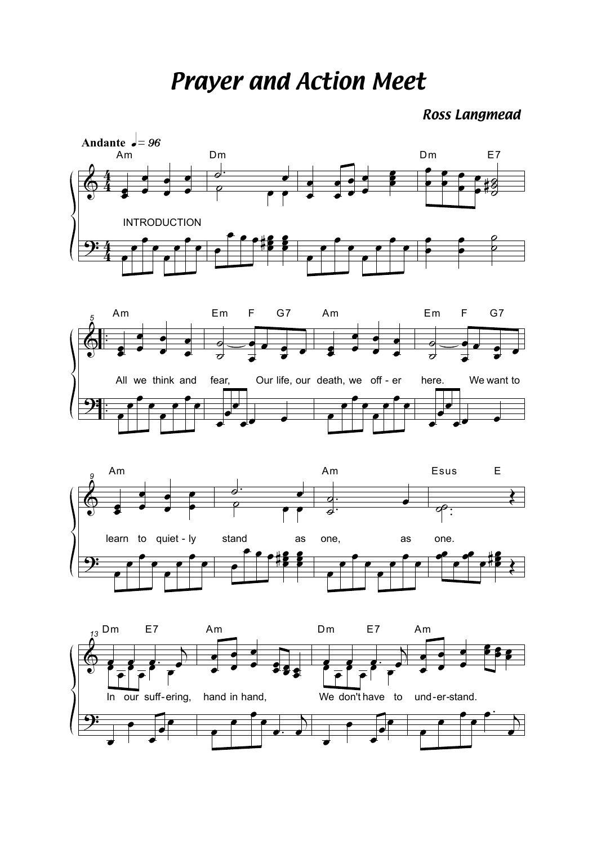**Prayer and Action Meet** 

**Ross Langmead**